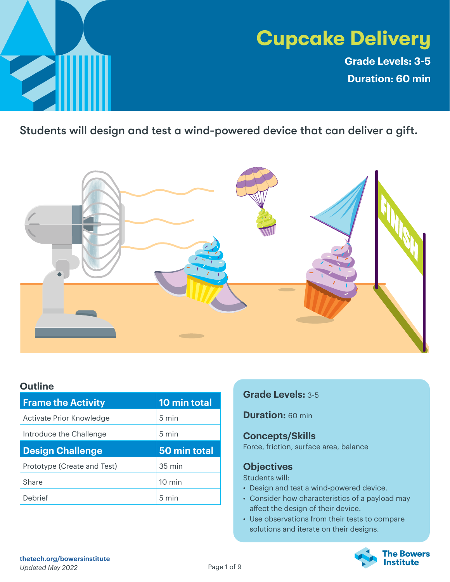

# **Cupcake Delivery**

**Grade Levels: 3-5 Duration: 60 min**

Students will design and test a wind-powered device that can deliver a gift.



### **Outline**

| <b>Frame the Activity</b>   | 10 min total     |
|-----------------------------|------------------|
| Activate Prior Knowledge    | 5 min            |
| Introduce the Challenge     | $5 \text{ min}$  |
|                             |                  |
| <b>Design Challenge</b>     | 50 min total     |
| Prototype (Create and Test) | 35 min           |
| Share                       | $10 \text{ min}$ |

### **Grade Levels:** 3-5

**Duration:** 60 min

### **Concepts/Skills**

Force, friction, surface area, balance

### **Objectives**

Students will:

- Design and test a wind-powered device.
- Consider how characteristics of a payload may affect the design of their device.
- Use observations from their tests to compare solutions and iterate on their designs.



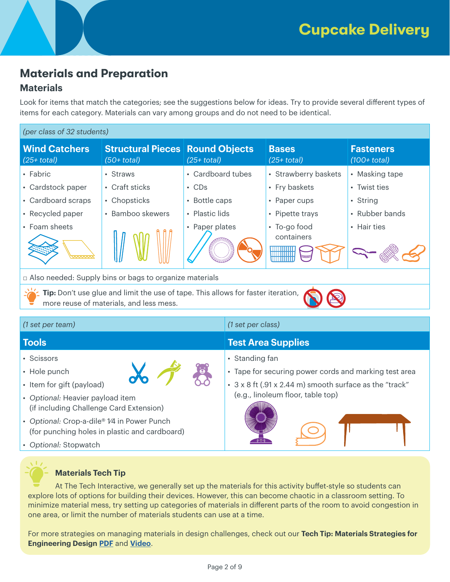# **Materials and Preparation**

### **Materials**

Look for items that match the categories; see the suggestions below for ideas. Try to provide several different types of items for each category. Materials can vary among groups and do not need to be identical.

| (per class of 32 students)                                                                                                  |                                                         |                   |                                        |                                    |
|-----------------------------------------------------------------------------------------------------------------------------|---------------------------------------------------------|-------------------|----------------------------------------|------------------------------------|
| <b>Wind Catchers</b><br>$(25+ total)$                                                                                       | <b>Structural Pieces Round Objects</b><br>$(50+$ total) | $(25+ total)$     | <b>Bases</b><br>$(25+ total)$          | <b>Fasteners</b><br>$(100+$ total) |
| • Fabric                                                                                                                    | • Straws                                                | • Cardboard tubes | • Strawberry baskets                   | • Masking tape                     |
| • Cardstock paper                                                                                                           | • Craft sticks                                          | $\cdot$ CDs       | • Fry baskets                          | • Twist ties                       |
| • Cardboard scraps                                                                                                          | • Chopsticks                                            | • Bottle caps     | • Paper cups                           | • String                           |
| • Recycled paper                                                                                                            | • Bamboo skewers                                        | • Plastic lids    | • Pipette trays                        | • Rubber bands                     |
| • Foam sheets<br>www                                                                                                        |                                                         | • Paper plates    | • To-go food<br>containers<br>Williams | • Hair ties                        |
| □ Also needed: Supply bins or bags to organize materials                                                                    |                                                         |                   |                                        |                                    |
| Tip: Don't use glue and limit the use of tape. This allows for faster iteration,<br>more reuse of materials, and less mess. |                                                         |                   |                                        |                                    |

| (1 set per team)                                                                             | (1 set per class)                                       |
|----------------------------------------------------------------------------------------------|---------------------------------------------------------|
| <b>Tools</b>                                                                                 | <b>Test Area Supplies</b>                               |
| • Scissors                                                                                   | • Standing fan                                          |
| • Hole punch                                                                                 | • Tape for securing power cords and marking test area   |
| • Item for gift (payload)                                                                    | • 3 x 8 ft (.91 x 2.44 m) smooth surface as the "track" |
| • Optional: Heavier payload item<br>(if including Challenge Card Extension)                  | (e.g., linoleum floor, table top)                       |
| • Optional: Crop-a-dile® 1⁄4 in Power Punch<br>(for punching holes in plastic and cardboard) |                                                         |
| • Optional: Stopwatch                                                                        |                                                         |

### **Materials Tech Tip**

At The Tech Interactive, we generally set up the materials for this activity buffet-style so students can explore lots of options for building their devices. However, this can become chaotic in a classroom setting. To minimize material mess, try setting up categories of materials in different parts of the room to avoid congestion in one area, or limit the number of materials students can use at a time.

For more strategies on managing materials in design challenges, check out our **Tech Tip: Materials Strategies for Engineering Design [PDF](https://www.thetech.org/sites/default/files/techtip_materialstrategiesforengineering-19.pdf)** and **[Video](https://www.youtube.com/watch?v=3gBmiGkPK6g&list=PLy9Z_P3t7XMAg1P2GOxb7yZMoWbyg4cwh&index=3)**.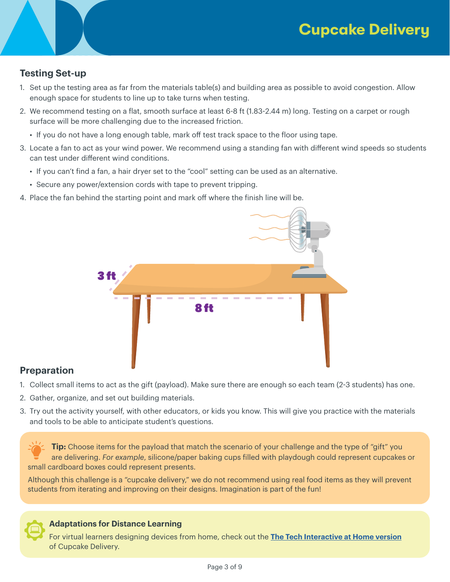## **Testing Set-up**

- 1. Set up the testing area as far from the materials table(s) and building area as possible to avoid congestion. Allow enough space for students to line up to take turns when testing.
- 2. We recommend testing on a flat, smooth surface at least 6-8 ft (1.83-2.44 m) long. Testing on a carpet or rough surface will be more challenging due to the increased friction.
	- If you do not have a long enough table, mark off test track space to the floor using tape.
- 3. Locate a fan to act as your wind power. We recommend using a standing fan with different wind speeds so students can test under different wind conditions.
	- If you can't find a fan, a hair dryer set to the "cool" setting can be used as an alternative.
	- Secure any power/extension cords with tape to prevent tripping.
- 4. Place the fan behind the starting point and mark off where the finish line will be.



### **Preparation**

- 1. Collect small items to act as the gift (payload). Make sure there are enough so each team (2-3 students) has one.
- 2. Gather, organize, and set out building materials.
- 3. Try out the activity yourself, with other educators, or kids you know. This will give you practice with the materials and tools to be able to anticipate student's questions.

**Tip:** Choose items for the payload that match the scenario of your challenge and the type of "gift" you are delivering. *For example*, silicone/paper baking cups filled with playdough could represent cupcakes or small cardboard boxes could represent presents.

Although this challenge is a "cupcake delivery," we do not recommend using real food items as they will prevent students from iterating and improving on their designs. Imagination is part of the fun!



### **Adaptations for Distance Learning**

For virtual learners designing devices from home, check out the **[The Tech Interactive at Home version](https://www.thetechathome.org/cupcakedelivery)** of Cupcake Delivery.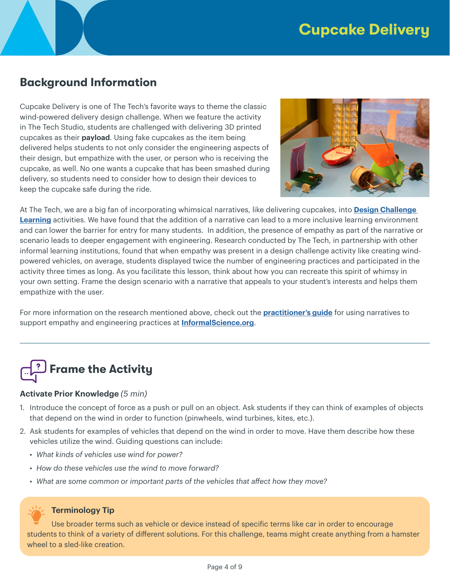# **Background Information**

Cupcake Delivery is one of The Tech's favorite ways to theme the classic wind-powered delivery design challenge. When we feature the activity in The Tech Studio, students are challenged with delivering 3D printed cupcakes as their **payload**. Using fake cupcakes as the item being delivered helps students to not only consider the engineering aspects of their design, but empathize with the user, or person who is receiving the cupcake, as well. No one wants a cupcake that has been smashed during delivery, so students need to consider how to design their devices to keep the cupcake safe during the ride.



At The Tech, we are a big fan of incorporating whimsical narratives, like delivering cupcakes, into **[Design Challenge](https://www.thetech.org/explore-dcl)  [Learning](https://www.thetech.org/explore-dcl)** activities. We have found that the addition of a narrative can lead to a more inclusive learning environment and can lower the barrier for entry for many students. In addition, the presence of empathy as part of the narrative or scenario leads to deeper engagement with engineering. Research conducted by The Tech, in partnership with other informal learning institutions, found that when empathy was present in a design challenge activity like creating windpowered vehicles, on average, students displayed twice the number of engineering practices and participated in the activity three times as long. As you facilitate this lesson, think about how you can recreate this spirit of whimsy in your own setting. Frame the design scenario with a narrative that appeals to your student's interests and helps them empathize with the user.

For more information on the research mentioned above, check out the **[practitioner's guide](https://www.informalscience.org/sites/default/files/Using%20Narratives%20to%20Support%20Empathy%20and%20Engineering_ScreenView.pdf)** for using narratives to support empathy and engineering practices at **[InformalScience.org](https://www.informalscience.org/)**.

# **Frame the Activity**

### **Activate Prior Knowledge** *(5 min)*

- 1. Introduce the concept of force as a push or pull on an object. Ask students if they can think of examples of objects that depend on the wind in order to function (pinwheels, wind turbines, kites, etc.).
- 2. Ask students for examples of vehicles that depend on the wind in order to move. Have them describe how these vehicles utilize the wind. Guiding questions can include:
	- *What kinds of vehicles use wind for power?*
	- *How do these vehicles use the wind to move forward?*
	- *What are some common or important parts of the vehicles that affect how they move?*



#### **Terminology Tip**

Use broader terms such as vehicle or device instead of specific terms like car in order to encourage students to think of a variety of different solutions. For this challenge, teams might create anything from a hamster wheel to a sled-like creation.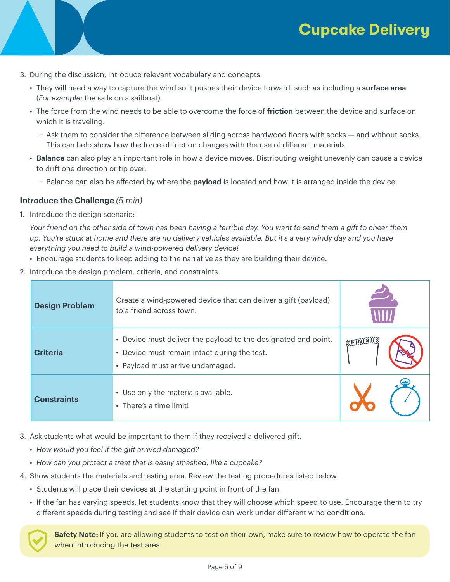- 3. During the discussion, introduce relevant vocabulary and concepts.
	- They will need a way to capture the wind so it pushes their device forward, such as including a **surface area** (*For example*: the sails on a sailboat).
	- The force from the wind needs to be able to overcome the force of **friction** between the device and surface on which it is traveling.
		- − Ask them to consider the difference between sliding across hardwood floors with socks and without socks. This can help show how the force of friction changes with the use of different materials.
	- **Balance** can also play an important role in how a device moves. Distributing weight unevenly can cause a device to drift one direction or tip over.
		- − Balance can also be affected by where the **payload** is located and how it is arranged inside the device.

### **Introduce the Challenge** *(5 min)*

1. Introduce the design scenario:

*Your friend on the other side of town has been having a terrible day. You want to send them a gift to cheer them up. You're stuck at home and there are no delivery vehicles available. But it's a very windy day and you have everything you need to build a wind-powered delivery device!*

- Encourage students to keep adding to the narrative as they are building their device.
- 2. Introduce the design problem, criteria, and constraints.

| <b>Design Problem</b> | Create a wind-powered device that can deliver a gift (payload)<br>to a friend across town.                                                         |          |
|-----------------------|----------------------------------------------------------------------------------------------------------------------------------------------------|----------|
| <b>Criteria</b>       | • Device must deliver the payload to the designated end point.<br>• Device must remain intact during the test.<br>• Payload must arrive undamaged. | KEINISHS |
| <b>Constraints</b>    | • Use only the materials available.<br>• There's a time limit!                                                                                     |          |

- 3. Ask students what would be important to them if they received a delivered gift.
	- *How would you feel if the gift arrived damaged?*
	- *How can you protect a treat that is easily smashed, like a cupcake?*
- 4. Show students the materials and testing area. Review the testing procedures listed below.
	- Students will place their devices at the starting point in front of the fan.
	- If the fan has varying speeds, let students know that they will choose which speed to use. Encourage them to try different speeds during testing and see if their device can work under different wind conditions.

**Safety Note:** If you are allowing students to test on their own, make sure to review how to operate the fan when introducing the test area.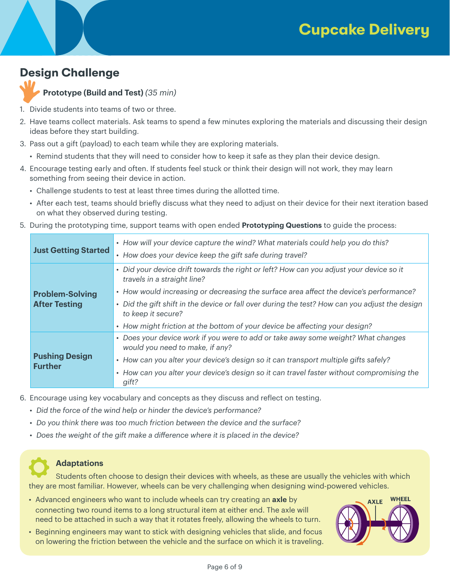# **Design Challenge**

**Prototype (Build and Test)** *(35 min)*

- 1. Divide students into teams of two or three.
- 2. Have teams collect materials. Ask teams to spend a few minutes exploring the materials and discussing their design ideas before they start building.
- 3. Pass out a gift (payload) to each team while they are exploring materials.
	- Remind students that they will need to consider how to keep it safe as they plan their device design.
- 4. Encourage testing early and often. If students feel stuck or think their design will not work, they may learn something from seeing their device in action.
	- Challenge students to test at least three times during the allotted time.
	- After each test, teams should briefly discuss what they need to adjust on their device for their next iteration based on what they observed during testing.
- 5. During the prototyping time, support teams with open ended **Prototyping Questions** to guide the process:

| <b>Just Getting Started</b>                    | • How will your device capture the wind? What materials could help you do this?<br>• How does your device keep the gift safe during travel?                                                                                                                                                                                                                                                                             |  |  |  |
|------------------------------------------------|-------------------------------------------------------------------------------------------------------------------------------------------------------------------------------------------------------------------------------------------------------------------------------------------------------------------------------------------------------------------------------------------------------------------------|--|--|--|
| <b>Problem-Solving</b><br><b>After Testing</b> | • Did your device drift towards the right or left? How can you adjust your device so it<br>travels in a straight line?<br>• How would increasing or decreasing the surface area affect the device's performance?<br>• Did the gift shift in the device or fall over during the test? How can you adjust the design<br>to keep it secure?<br>• How might friction at the bottom of your device be affecting your design? |  |  |  |
| <b>Pushing Design</b><br><b>Further</b>        | • Does your device work if you were to add or take away some weight? What changes<br>would you need to make, if any?<br>• How can you alter your device's design so it can transport multiple gifts safely?<br>• How can you alter your device's design so it can travel faster without compromising the<br>gift?                                                                                                       |  |  |  |

6. Encourage using key vocabulary and concepts as they discuss and reflect on testing.

- *Did the force of the wind help or hinder the device's performance?*
- *Do you think there was too much friction between the device and the surface?*
- *Does the weight of the gift make a difference where it is placed in the device?*

### **Adaptations**

Students often choose to design their devices with wheels, as these are usually the vehicles with which they are most familiar. However, wheels can be very challenging when designing wind-powered vehicles.

- Advanced engineers who want to include wheels can try creating an **axle** by connecting two round items to a long structural item at either end. The axle will need to be attached in such a way that it rotates freely, allowing the wheels to turn.
- Beginning engineers may want to stick with designing vehicles that slide, and focus on lowering the friction between the vehicle and the surface on which it is traveling.

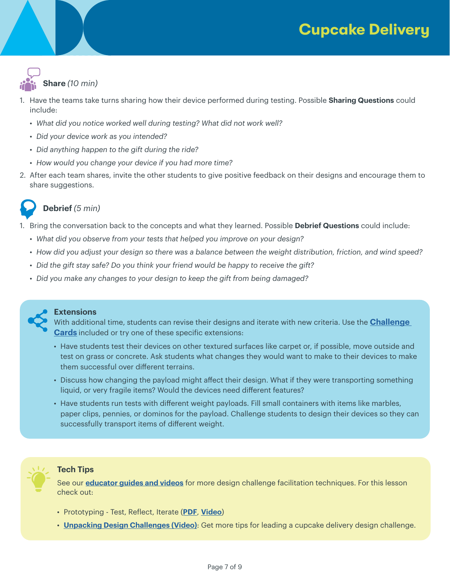# **Cupcake Delivery**



- 1. Have the teams take turns sharing how their device performed during testing. Possible **Sharing Questions** could include:
	- *What did you notice worked well during testing? What did not work well?*
	- *Did your device work as you intended?*
	- *Did anything happen to the gift during the ride?*
	- *How would you change your device if you had more time?*
- 2. After each team shares, invite the other students to give positive feedback on their designs and encourage them to share suggestions.



## **Debrief** *(5 min)*

- 1. Bring the conversation back to the concepts and what they learned. Possible **Debrief Questions** could include:
	- *What did you observe from your tests that helped you improve on your design?*
	- *How did you adjust your design so there was a balance between the weight distribution, friction, and wind speed?*
	- *Did the gift stay safe? Do you think your friend would be happy to receive the gift?*
	- *Did you make any changes to your design to keep the gift from being damaged?*



#### **Extensions**

With additional time, students can revise their designs and iterate with new criteria. Use the **Challenge Cards** included or try one of these specific extensions:

- Have students test their devices on other textured surfaces like carpet or, if possible, move outside and test on grass or concrete. Ask students what changes they would want to make to their devices to make them successful over different terrains.
- Discuss how changing the payload might affect their design. What if they were transporting something liquid, or very fragile items? Would the devices need different features?
- Have students run tests with different weight payloads. Fill small containers with items like marbles, paper clips, pennies, or dominos for the payload. Challenge students to design their devices so they can successfully transport items of different weight.



### **Tech Tips**

See our **[educator guides and videos](https://www.thetech.org/explore-dcl)** for more design challenge facilitation techniques. For this lesson check out:

- Prototyping Test, Reflect, Iterate (**[PDF](https://www.thetech.org/sites/default/files/techtip_prototyping.pdf)**, **[Video](https://www.youtube.com/watch?v=SVMY6xEAJBg&list=PLy9Z_P3t7XMAg1P2GOxb7yZMoWbyg4cwh&index=5)**)
- **[Unpacking Design Challenges \(Video\)](https://www.youtube.com/watch?reload=9&v=QjtCo0xa_6E&t=15s)**: Get more tips for leading a cupcake delivery design challenge.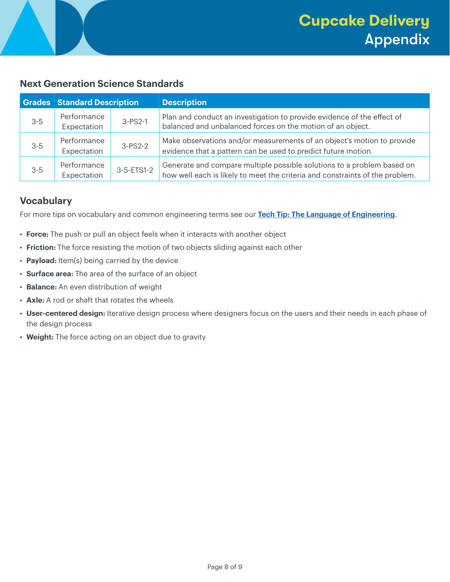### **Next Generation Science Standards**

|         | <b>Grades Standard Description</b> |            | <b>Description</b>                                                                                                                                     |
|---------|------------------------------------|------------|--------------------------------------------------------------------------------------------------------------------------------------------------------|
| $3 - 5$ | Performance<br>Expectation         | $3-PS2-1$  | Plan and conduct an investigation to provide evidence of the effect of<br>balanced and unbalanced forces on the motion of an object.                   |
| $3 - 5$ | Performance<br>Expectation         | $3-PS2-2$  | Make observations and/or measurements of an object's motion to provide<br>evidence that a pattern can be used to predict future motion.                |
| $3 - 5$ | Performance<br>Expectation         | 3-5-ETS1-2 | Generate and compare multiple possible solutions to a problem based on<br>how well each is likely to meet the criteria and constraints of the problem. |

### **Vocabulary**

For more tips on vocabulary and common engineering terms see our **[Tech Tip: The Language of Engineering](https://www.thetech.org/sites/default/files/techtip_languageofengineering-19.pdf)**.

- **Force:** The push or pull an object feels when it interacts with another object
- **Friction:** The force resisting the motion of two objects sliding against each other
- **Payload:** Item(s) being carried by the device
- **Surface area:** The area of the surface of an object
- **Balance:** An even distribution of weight
- **Axle:** A rod or shaft that rotates the wheels
- **User-centered design:** Iterative design process where designers focus on the users and their needs in each phase of the design process
- **Weight:** The force acting on an object due to gravity